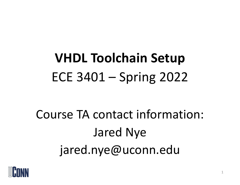# **VHDL Toolchain Setup** ECE 3401 – Spring 2022

Course TA contact information: Jared Nye jared.nye@uconn.edu

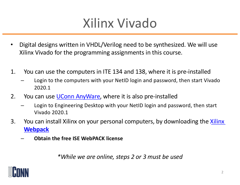#### Xilinx Vivado

- Digital designs written in VHDL/Verilog need to be synthesized. We will use Xilinx Vivado for the programming assignments in this course.
- 1. You can use the computers in ITE 134 and 138, where it is pre-installed
	- Login to the computers with your NetID login and password, then start Vivado 2020.1
- 2. You can use *UConn AnyWare*, where it is also pre-installed
	- Login to Engineering Desktop with your NetID login and password, then start Vivado 2020.1
- 3. [You can install Xilinx on your personal computers, by downloading the Xilinx](https://www.xilinx.com/products/design-tools/vivado/vivado-webpack.html) **Webpack**
	- **Obtain the free ISE WebPACK license**

*\*While we are online, steps 2 or 3 must be used*

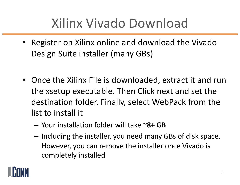## Xilinx Vivado Download

- Register on Xilinx online and download the Vivado Design Suite installer (many GBs)
- Once the Xilinx File is downloaded, extract it and run the xsetup executable. Then Click next and set the destination folder. Finally, select WebPack from the list to install it
	- Your installation folder will take ~**8+ GB**
	- Including the installer, you need many GBs of disk space. However, you can remove the installer once Vivado is completely installed

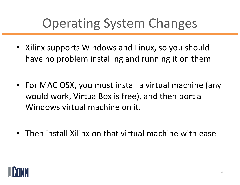## Operating System Changes

- Xilinx supports Windows and Linux, so you should have no problem installing and running it on them
- For MAC OSX, you must install a virtual machine (any would work, VirtualBox is free), and then port a Windows virtual machine on it.
- Then install Xilinx on that virtual machine with ease